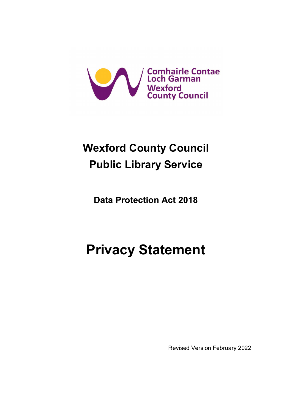

## **Wexford County Council Public Library Service**

**Data Protection Act 2018** 

# **Privacy Statement**

Revised Version February 2022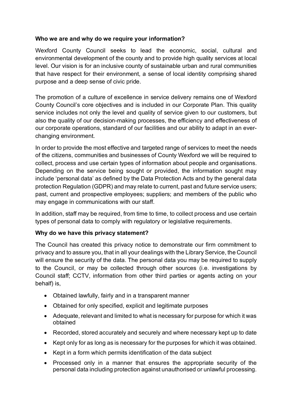## **Who we are and why do we require your information?**

Wexford County Council seeks to lead the economic, social, cultural and environmental development of the county and to provide high quality services at local level. Our vision is for an inclusive county of sustainable urban and rural communities that have respect for their environment, a sense of local identity comprising shared purpose and a deep sense of civic pride.

The promotion of a culture of excellence in service delivery remains one of Wexford County Council's core objectives and is included in our Corporate Plan. This quality service includes not only the level and quality of service given to our customers, but also the quality of our decision-making processes, the efficiency and effectiveness of our corporate operations, standard of our facilities and our ability to adapt in an everchanging environment.

In order to provide the most effective and targeted range of services to meet the needs of the citizens, communities and businesses of County Wexford we will be required to collect, process and use certain types of information about people and organisations. Depending on the service being sought or provided, the information sought may include 'personal data' as defined by the Data Protection Acts and by the general data protection Regulation (GDPR) and may relate to current, past and future service users; past, current and prospective employees; suppliers; and members of the public who may engage in communications with our staff.

In addition, staff may be required, from time to time, to collect process and use certain types of personal data to comply with regulatory or legislative requirements.

## **Why do we have this privacy statement?**

The Council has created this privacy notice to demonstrate our firm commitment to privacy and to assure you, that in all your dealings with the Library Service, the Council will ensure the security of the data. The personal data you may be required to supply to the Council, or may be collected through other sources (i.e. investigations by Council staff; CCTV, information from other third parties or agents acting on your behalf) is,

- Obtained lawfully, fairly and in a transparent manner
- Obtained for only specified, explicit and legitimate purposes
- Adequate, relevant and limited to what is necessary for purpose for which it was obtained
- Recorded, stored accurately and securely and where necessary kept up to date
- Kept only for as long as is necessary for the purposes for which it was obtained.
- Kept in a form which permits identification of the data subject
- Processed only in a manner that ensures the appropriate security of the personal data including protection against unauthorised or unlawful processing.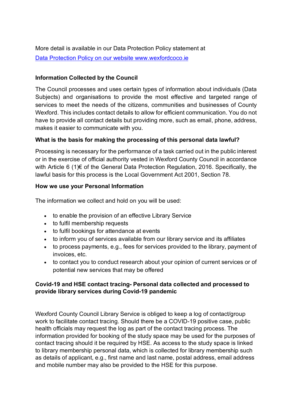More detail is available in our Data Protection Policy statement at [Data Protection Policy on our website www.wexfordcoco.ie](https://www.wexfordcoco.ie/council-and-democracy/freedom-of-information-foi-and-data-protection/data-protection-gdpr)

## **Information Collected by the Council**

The Council processes and uses certain types of information about individuals (Data Subjects) and organisations to provide the most effective and targeted range of services to meet the needs of the citizens, communities and businesses of County Wexford. This includes contact details to allow for efficient communication. You do not have to provide all contact details but providing more, such as email, phone, address, makes it easier to communicate with you.

## **What is the basis for making the processing of this personal data lawful?**

Processing is necessary for the performance of a task carried out in the public interest or in the exercise of official authority vested in Wexford County Council in accordance with Article 6 (1)€ of the General Data Protection Regulation, 2016. Specifically, the lawful basis for this process is the Local Government Act 2001, Section 78.

## **How we use your Personal Information**

The information we collect and hold on you will be used:

- to enable the provision of an effective Library Service
- to fulfil membership requests
- to fulfil bookings for attendance at events
- to inform you of services available from our library service and its affiliates
- to process payments, e.g., fees for services provided to the library, payment of invoices, etc.
- to contact you to conduct research about your opinion of current services or of potential new services that may be offered

## **Covid-19 and HSE contact tracing- Personal data collected and processed to provide library services during Covid-19 pandemic**

Wexford County Council Library Service is obliged to keep a log of contact/group work to facilitate contact tracing. Should there be a COVID-19 positive case, public health officials may request the log as part of the contact tracing process. The information provided for booking of the study space may be used for the purposes of contact tracing should it be required by HSE. As access to the study space is linked to library membership personal data, which is collected for library membership such as details of applicant, e.g., first name and last name, postal address, email address and mobile number may also be provided to the HSE for this purpose.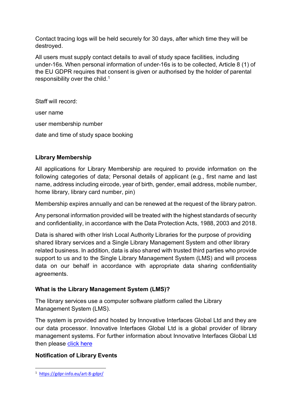Contact tracing logs will be held securely for 30 days, after which time they will be destroyed.

All users must supply contact details to avail of study space facilities, including under-16s. When personal information of under-16s is to be collected, Article 8 (1) of the EU GDPR requires that consent is given or authorised by the holder of parental responsibility over the child.<sup>[1](#page-3-0)</sup>

Staff will record:

user name user membership number date and time of study space booking

## **Library Membership**

All applications for Library Membership are required to provide information on the following categories of data; Personal details of applicant (e.g., first name and last name, address including eircode, year of birth, gender, email address, mobile number, home library, library card number, pin)

Membership expires annually and can be renewed at the request of the library patron.

Any personal information provided will be treated with the highest standards of security and confidentiality, in accordance with the Data Protection Acts, 1988, 2003 and 2018.

Data is shared with other Irish Local Authority Libraries for the purpose of providing shared library services and a Single Library Management System and other library related business. In addition, data is also shared with trusted third parties who provide support to us and to the Single Library Management System (LMS) and will process data on our behalf in accordance with appropriate data sharing confidentiality agreements.

## **What is the Library Management System (LMS)?**

The library services use a computer software platform called the Library Management System (LMS).

The system is provided and hosted by Innovative Interfaces Global Ltd and they are our data processor. Innovative Interfaces Global Ltd is a global provider of library management systems. For further information about Innovative Interfaces Global Ltd then please [click here](https://www.iii.com/services-privacy-policy/)

## **Notification of Library Events**

<span id="page-3-0"></span><sup>1</sup> <https://gdpr-info.eu/art-8-gdpr/>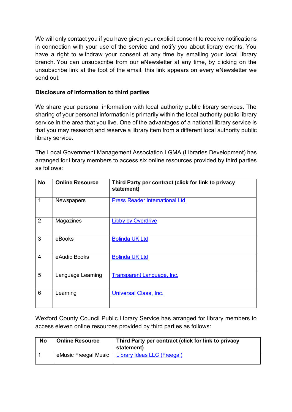We will only contact you if you have given your explicit consent to receive notifications in connection with your use of the service and notify you about library events. You have a right to withdraw your consent at any time by emailing your local library branch. You can unsubscribe from our eNewsletter at any time, by clicking on the unsubscribe link at the foot of the email, this link appears on every eNewsletter we send out.

## **Disclosure of information to third parties**

We share your personal information with local authority public library services. The sharing of your personal information is primarily within the local authority public library service in the area that you live. One of the advantages of a national library service is that you may research and reserve a library item from a different local authority public library service.

The Local Government Management Association LGMA (Libraries Development) has arranged for library members to access six online resources provided by third parties as follows:

| <b>No</b>      | <b>Online Resource</b> | Third Party per contract (click for link to privacy<br>statement) |
|----------------|------------------------|-------------------------------------------------------------------|
| 1              | <b>Newspapers</b>      | <b>Press Reader International Ltd</b>                             |
| 2              | Magazines              | <b>Libby by Overdrive</b>                                         |
| 3              | eBooks                 | <b>Bolinda UK Ltd</b>                                             |
| $\overline{4}$ | eAudio Books           | <b>Bolinda UK Ltd</b>                                             |
| 5              | Language Learning      | <b>Transparent Language, Inc.</b>                                 |
| 6              | Learning               | Universal Class, Inc.                                             |

Wexford County Council Public Library Service has arranged for library members to access eleven online resources provided by third parties as follows:

| <b>No</b> | <b>Online Resource</b> | Third Party per contract (click for link to privacy<br>statement) |
|-----------|------------------------|-------------------------------------------------------------------|
|           | eMusic Freegal Music   | <b>Library Ideas LLC (Freegal)</b>                                |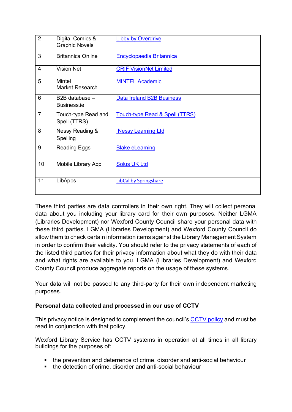| $\overline{2}$ | Digital Comics &<br><b>Graphic Novels</b> | <b>Libby by Overdrive</b>        |
|----------------|-------------------------------------------|----------------------------------|
| 3              | <b>Britannica Online</b>                  | <b>Encyclopaedia Britannica</b>  |
| $\overline{4}$ | <b>Vision Net</b>                         | <b>CRIF VisionNet Limited</b>    |
| 5              | Mintel<br><b>Market Research</b>          | <b>MINTEL Academic</b>           |
| 6              | B2B database -<br>Business.ie             | <b>Data Ireland B2B Business</b> |
| $\overline{7}$ | Touch-type Read and<br>Spell (TTRS)       | Touch-type Read & Spell (TTRS)   |
| 8              | Nessy Reading &<br>Spelling               | <b>Nessy Learning Ltd</b>        |
| 9              | <b>Reading Eggs</b>                       | <b>Blake eLearning</b>           |
| 10             | Mobile Library App                        | <b>Solus UK Ltd</b>              |
| 11             | LibApps                                   | <b>LibCal by Springshare</b>     |

These third parties are data controllers in their own right. They will collect personal data about you including your library card for their own purposes. Neither LGMA (Libraries Development) nor Wexford County Council share your personal data with these third parties. LGMA (Libraries Development) and Wexford County Council do allow them to check certain information items against the Library Management System in order to confirm their validity. You should refer to the privacy statements of each of the listed third parties for their privacy information about what they do with their data and what rights are available to you. LGMA (Libraries Development) and Wexford County Council produce aggregate reports on the usage of these systems.

Your data will not be passed to any third-party for their own independent marketing purposes.

## **Personal data collected and processed in our use of CCTV**

This privacy notice is designed to complement the council's [CCTV policy](https://www.wexfordcoco.ie/sites/default/files/content/GDPR/CCTV-Audio-Recording-Policy-V.-2.-July-2016-Copy.pdf) and must be read in conjunction with that policy.

Wexford Library Service has CCTV systems in operation at all times in all library buildings for the purposes of:

- the prevention and deterrence of crime, disorder and anti-social behaviour
- the detection of crime, disorder and anti-social behaviour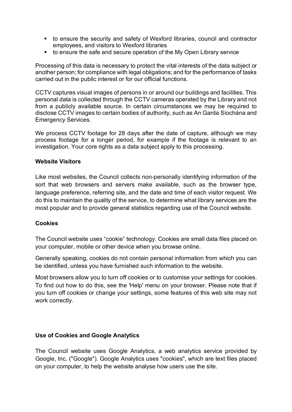- to ensure the security and safety of Wexford libraries, council and contractor employees, and visitors to Wexford libraries
- to ensure the safe and secure operation of the My Open Library service

Processing of this data is necessary to protect the vital interests of the data subject or another person; for compliance with legal obligations; and for the performance of tasks carried out in the public interest or for our official functions.

CCTV captures visual images of persons in or around our buildings and facilities. This personal data is collected through the CCTV cameras operated by the Library and not from a publicly available source. In certain circumstances we may be required to disclose CCTV images to certain bodies of authority, such as An Garda Síochána and Emergency Services.

We process CCTV footage for 28 days after the date of capture, although we may process footage for a longer period, for example if the footage is relevant to an investigation. Your core rights as a data subject apply to this processing.

#### **Website Visitors**

Like most websites, the Council collects non-personally identifying information of the sort that web browsers and servers make available, such as the browser type, language preference, referring site, and the date and time of each visitor request. We do this to maintain the quality of the service, to determine what library services are the most popular and to provide general statistics regarding use of the Council website.

#### **Cookies**

The Council website uses "cookie" technology. Cookies are small data files placed on your computer, mobile or other device when you browse online.

Generally speaking, cookies do not contain personal information from which you can be identified, unless you have furnished such information to the website.

Most browsers allow you to turn off cookies or to customise your settings for cookies. To find out how to do this, see the 'Help' menu on your browser. Please note that if you turn off cookies or change your settings, some features of this web site may not work correctly.

#### **Use of Cookies and Google Analytics**

The Council website uses Google Analytics, a web analytics service provided by Google, Inc. ("Google"). Google Analytics uses "cookies", which are text files placed on your computer, to help the website analyse how users use the site.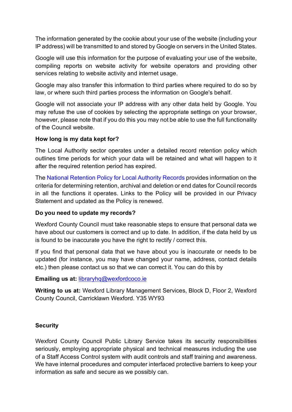The information generated by the cookie about your use of the website (including your IP address) will be transmitted to and stored by Google on servers in the United States.

Google will use this information for the purpose of evaluating your use of the website, compiling reports on website activity for website operators and providing other services relating to website activity and internet usage.

Google may also transfer this information to third parties where required to do so by law, or where such third parties process the information on Google's behalf.

Google will not associate your IP address with any other data held by Google. You may refuse the use of cookies by selecting the appropriate settings on your browser, however, please note that if you do this you may not be able to use the full functionality of the Council website.

#### **How long is my data kept for?**

The Local Authority sector operates under a detailed record retention policy which outlines time periods for which your data will be retained and what will happen to it after the required retention period has expired.

The [National Retention Policy for Local Authority Records](http://www.lgma.ie/sites/default/files/2002_national_retention_policy_for_local_authority_records_2.pdf) provides information on the criteria for determining retention, archival and deletion or end dates for Council records in all the functions it operates. Links to the Policy will be provided in our Privacy Statement and updated as the Policy is renewed.

## **Do you need to update my records?**

Wexford County Council must take reasonable steps to ensure that personal data we have about our customers is correct and up to date. In addition, if the data held by us is found to be inaccurate you have the right to rectify / correct this.

If you find that personal data that we have about you is inaccurate or needs to be updated (for instance, you may have changed your name, address, contact details etc.) then please contact us so that we can correct it. You can do this by

## **Emailing us at:** [libraryhq@wexfordcoco.ie](mailto:libraryhq@wexfordcoco.ie)

**Writing to us at:** Wexford Library Management Services, Block D, Floor 2, Wexford County Council, Carricklawn Wexford. Y35 WY93

## **Security**

Wexford County Council Public Library Service takes its security responsibilities seriously, employing appropriate physical and technical measures including the use of a Staff Access Control system with audit controls and staff training and awareness. We have internal procedures and computer interfaced protective barriers to keep your information as safe and secure as we possibly can.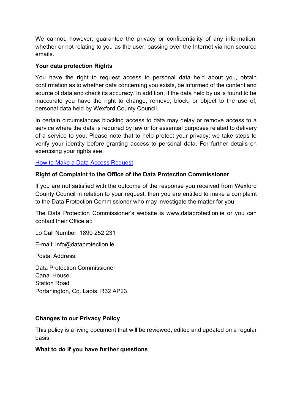We cannot, however, guarantee the privacy or confidentiality of any information, whether or not relating to you as the user, passing over the Internet via non secured emails.

#### **Your data protection Rights**

You have the right to request access to personal data held about you, obtain confirmation as to whether data concerning you exists, be informed of the content and source of data and check its accuracy. In addition, if the data held by us is found to be inaccurate you have the right to change, remove, block, or object to the use of, personal data held by Wexford County Council.

In certain circumstances blocking access to data may delay or remove access to a service where the data is required by law or for essential purposes related to delivery of a service to you. Please note that to help protect your privacy; we take steps to verify your identity before granting access to personal data. For further details on exercising your rights see:

#### [How to Make a Data Access Request](https://www.wexfordcoco.ie/sites/default/files/content/GDPR/Data-Access-Requests-WCC-18.pdf)

#### **Right of Complaint to the Office of the Data Protection Commissioner**

If you are not satisfied with the outcome of the response you received from Wexford County Council in relation to your request, then you are entitled to make a complaint to the Data Protection Commissioner who may investigate the matter for you.

The Data Protection Commissioner's website is www.dataprotection.ie or you can contact their Office at:

Lo Call Number: 1890 252 231

E-mail: info@dataprotection.ie

Postal Address:

Data Protection Commissioner Canal House Station Road Portarlington, Co. Laois. R32 AP23.

#### **Changes to our Privacy Policy**

This policy is a living document that will be reviewed, edited and updated on a regular basis.

#### **What to do if you have further questions**